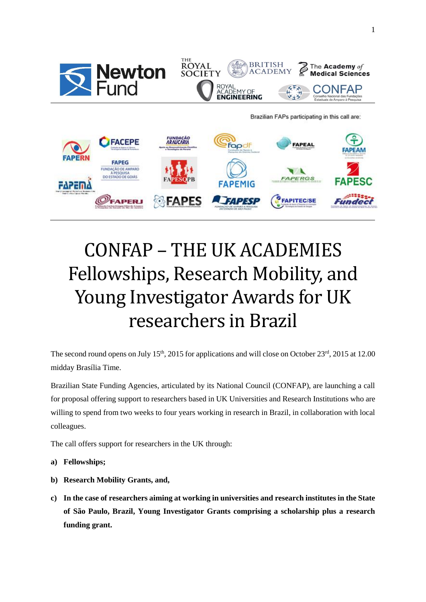

**FAPESP** 

**FAPITEC/SE** 

# CONFAP – THE UK ACADEMIES Fellowships, Research Mobility, and Young Investigator Awards for UK researchers in Brazil

The second round opens on July  $15<sup>th</sup>$ , 2015 for applications and will close on October 23<sup>rd</sup>, 2015 at 12.00 midday Brasília Time.

Brazilian State Funding Agencies, articulated by its National Council (CONFAP), are launching a call for proposal offering support to researchers based in UK Universities and Research Institutions who are willing to spend from two weeks to four years working in research in Brazil, in collaboration with local colleagues.

The call offers support for researchers in the UK through:

**DERI** 

- **a) Fellowships;**
- **b) Research Mobility Grants, and,**
- **c) In the case of researchers aiming at working in universities and research institutes in the State of São Paulo, Brazil, Young Investigator Grants comprising a scholarship plus a research funding grant.**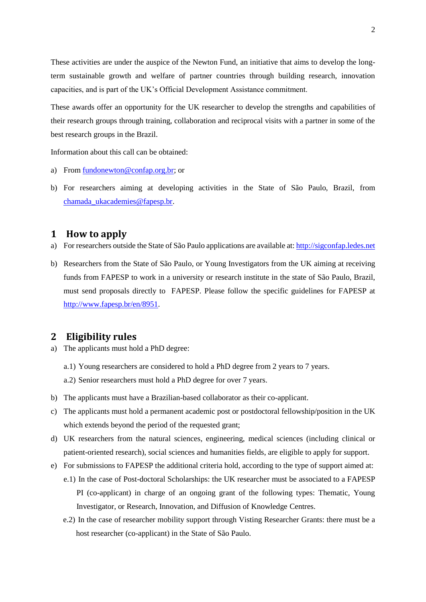These activities are under the auspice of the Newton Fund, an initiative that aims to develop the longterm sustainable growth and welfare of partner countries through building research, innovation capacities, and is part of the UK's Official Development Assistance commitment.

These awards offer an opportunity for the UK researcher to develop the strengths and capabilities of their research groups through training, collaboration and reciprocal visits with a partner in some of the best research groups in the Brazil.

Information about this call can be obtained:

- a) From [fundonewton@confap.org.br;](mailto:fundonewton@confap.org.br) or
- b) For researchers aiming at developing activities in the State of São Paulo, Brazil, from [chamada\\_ukacademies@fapesp.br.](mailto:chamada_ukacademies@fapesp.br)

#### **1 How to apply**

- a) For researchers outside the State of São Paulo applications are available at: [http://sigconfap.ledes.net](http://sigconfap.ledes.net/)
- b) Researchers from the State of São Paulo, or Young Investigators from the UK aiming at receiving funds from FAPESP to work in a university or research institute in the state of São Paulo, Brazil, must send proposals directly to FAPESP. Please follow the specific guidelines for FAPESP at [http://www.fapesp.br/en/8951.](http://www.fapesp.br/en/8951)

#### **2 Eligibility rules**

- a) The applicants must hold a PhD degree:
	- a.1) Young researchers are considered to hold a PhD degree from 2 years to 7 years.
	- a.2) Senior researchers must hold a PhD degree for over 7 years.
- b) The applicants must have a Brazilian-based collaborator as their co-applicant.
- c) The applicants must hold a permanent academic post or postdoctoral fellowship/position in the UK which extends beyond the period of the requested grant;
- d) UK researchers from the natural sciences, engineering, medical sciences (including clinical or patient-oriented research), social sciences and humanities fields, are eligible to apply for support.
- e) For submissions to FAPESP the additional criteria hold, according to the type of support aimed at:
	- e.1) In the case of Post-doctoral Scholarships: the UK researcher must be associated to a FAPESP PI (co-applicant) in charge of an ongoing grant of the following types: Thematic, Young Investigator, or Research, Innovation, and Diffusion of Knowledge Centres.
	- e.2) In the case of researcher mobility support through Visting Researcher Grants: there must be a host researcher (co-applicant) in the State of São Paulo.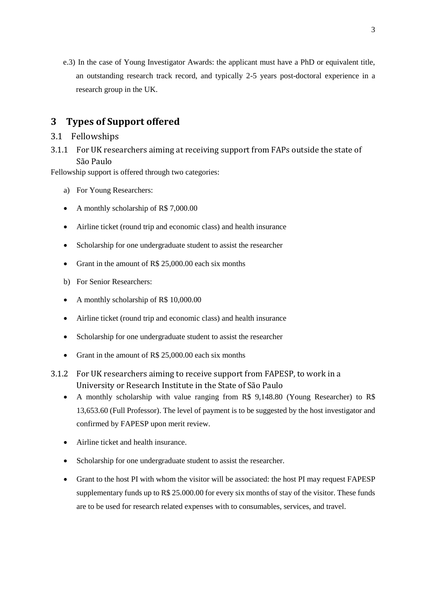e.3) In the case of Young Investigator Awards: the applicant must have a PhD or equivalent title, an outstanding research track record, and typically 2-5 years post-doctoral experience in a research group in the UK.

# **3 Types of Support offered**

- 3.1 Fellowships
- 3.1.1 For UK researchers aiming at receiving support from FAPs outside the state of São Paulo

Fellowship support is offered through two categories:

- a) For Young Researchers:
- A monthly scholarship of R\$ 7,000.00
- Airline ticket (round trip and economic class) and health insurance
- Scholarship for one undergraduate student to assist the researcher
- Grant in the amount of R\$ 25,000,00 each six months
- b) For Senior Researchers:
- A monthly scholarship of R\$ 10,000.00
- Airline ticket (round trip and economic class) and health insurance
- Scholarship for one undergraduate student to assist the researcher
- Grant in the amount of R\$ 25,000.00 each six months
- 3.1.2 For UK researchers aiming to receive support from FAPESP, to work in a University or Research Institute in the State of São Paulo
	- A monthly scholarship with value ranging from R\$ 9,148.80 (Young Researcher) to R\$ 13,653.60 (Full Professor). The level of payment is to be suggested by the host investigator and confirmed by FAPESP upon merit review.
	- Airline ticket and health insurance.
	- Scholarship for one undergraduate student to assist the researcher.
	- Grant to the host PI with whom the visitor will be associated: the host PI may request FAPESP supplementary funds up to R\$ 25.000.00 for every six months of stay of the visitor. These funds are to be used for research related expenses with to consumables, services, and travel.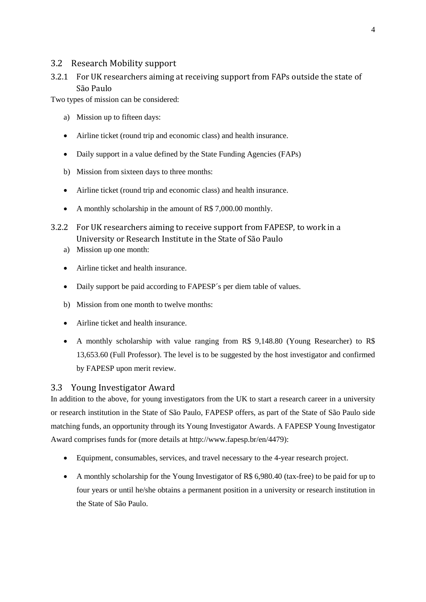#### 3.2 Research Mobility support

## 3.2.1 For UK researchers aiming at receiving support from FAPs outside the state of São Paulo

Two types of mission can be considered:

- a) Mission up to fifteen days:
- Airline ticket (round trip and economic class) and health insurance.
- Daily support in a value defined by the State Funding Agencies (FAPs)
- b) Mission from sixteen days to three months:
- Airline ticket (round trip and economic class) and health insurance.
- A monthly scholarship in the amount of R\$ 7,000.00 monthly.
- 3.2.2 For UK researchers aiming to receive support from FAPESP, to work in a University or Research Institute in the State of São Paulo
	- a) Mission up one month:
	- Airline ticket and health insurance.
	- Daily support be paid according to FAPESP's per diem table of values.
	- b) Mission from one month to twelve months:
	- Airline ticket and health insurance.
	- A monthly scholarship with value ranging from R\$ 9,148.80 (Young Researcher) to R\$ 13,653.60 (Full Professor). The level is to be suggested by the host investigator and confirmed by FAPESP upon merit review.

#### 3.3 Young Investigator Award

In addition to the above, for young investigators from the UK to start a research career in a university or research institution in the State of São Paulo, FAPESP offers, as part of the State of São Paulo side matching funds, an opportunity through its Young Investigator Awards. A FAPESP Young Investigator Award comprises funds for (more details at [http://www.fapesp.br/en/4479\)](http://www.fapesp.br/en/4479):

- Equipment, consumables, services, and travel necessary to the 4-year research project.
- A monthly scholarship for the Young Investigator of R\$ 6,980.40 (tax-free) to be paid for up to four years or until he/she obtains a permanent position in a university or research institution in the State of São Paulo.